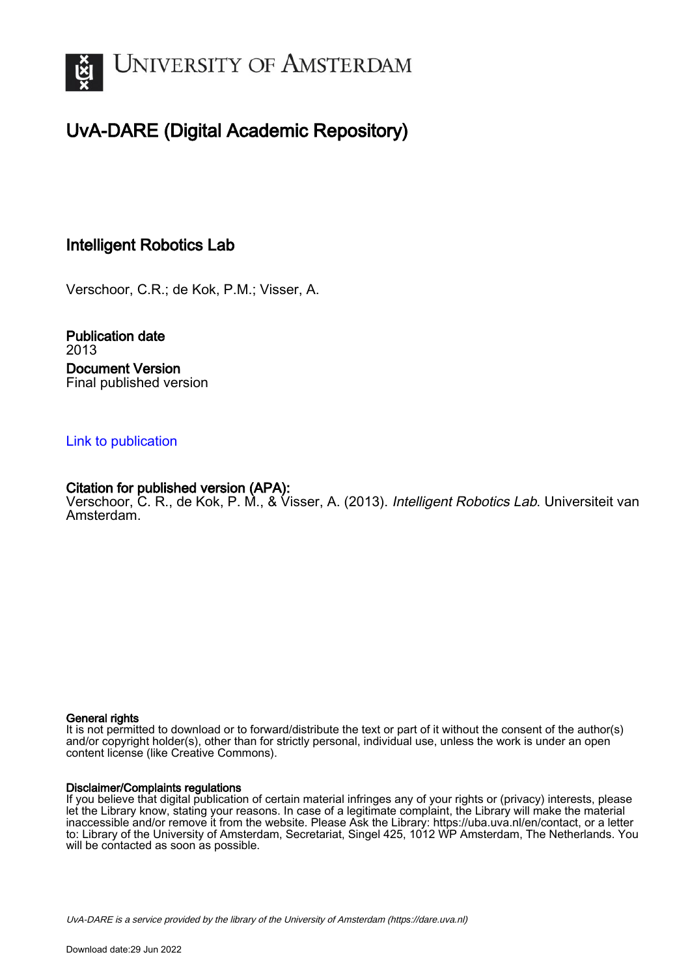

# UvA-DARE (Digital Academic Repository)

# Intelligent Robotics Lab

Verschoor, C.R.; de Kok, P.M.; Visser, A.

Publication date 2013 Document Version Final published version

# [Link to publication](https://dare.uva.nl/personal/pure/en/publications/intelligent-robotics-lab(30b04d70-78b4-4486-99c6-b779b99c75f4).html)

# Citation for published version (APA):

Verschoor, C. R., de Kok, P. M., & Visser, A. (2013). Intelligent Robotics Lab. Universiteit van Amsterdam.

#### General rights

It is not permitted to download or to forward/distribute the text or part of it without the consent of the author(s) and/or copyright holder(s), other than for strictly personal, individual use, unless the work is under an open content license (like Creative Commons).

#### Disclaimer/Complaints regulations

If you believe that digital publication of certain material infringes any of your rights or (privacy) interests, please let the Library know, stating your reasons. In case of a legitimate complaint, the Library will make the material inaccessible and/or remove it from the website. Please Ask the Library: https://uba.uva.nl/en/contact, or a letter to: Library of the University of Amsterdam, Secretariat, Singel 425, 1012 WP Amsterdam, The Netherlands. You will be contacted as soon as possible.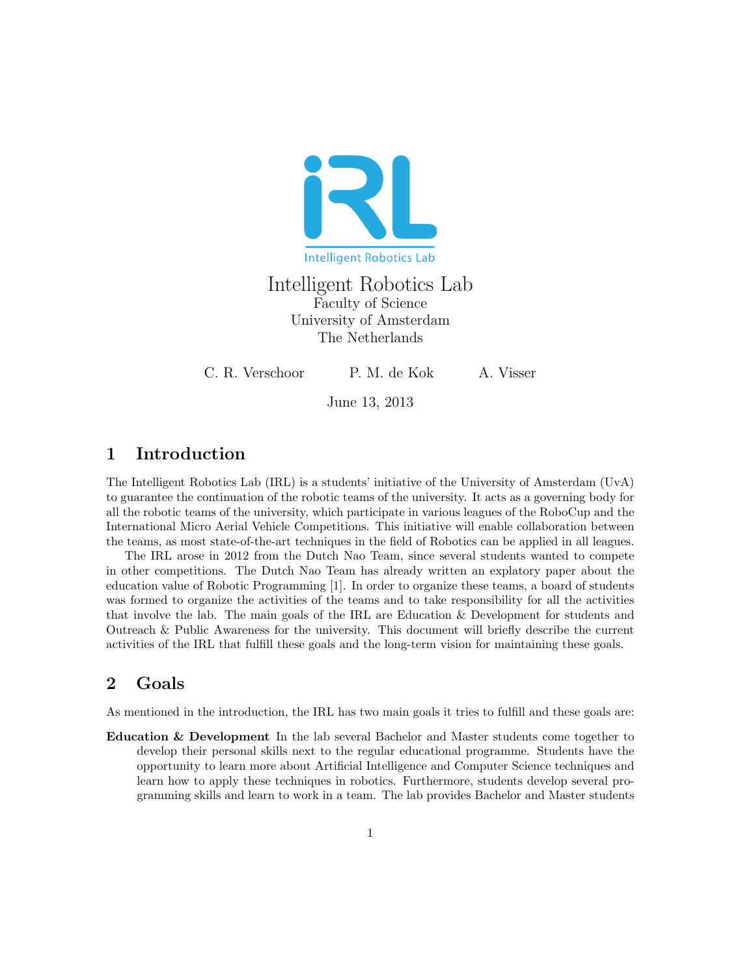

Intelligent Robotics Lab Faculty of Science University of Amsterdam The Netherlands

C. R. Verschoor P. M. de Kok A. Visser

June 13, 2013

# 1 Introduction

The Intelligent Robotics Lab (IRL) is a students' initiative of the University of Amsterdam (UvA) to guarantee the continuation of the robotic teams of the university. It acts as a governing body for all the robotic teams of the university, which participate in various leagues of the RoboCup and the International Micro Aerial Vehicle Competitions. This initiative will enable collaboration between the teams, as most state-of-the-art techniques in the field of Robotics can be applied in all leagues.

The IRL arose in 2012 from the Dutch Nao Team, since several students wanted to compete in other competitions. The Dutch Nao Team has already written an explatory paper about the education value of Robotic Programming [1]. In order to organize these teams, a board of students was formed to organize the activities of the teams and to take responsibility for all the activities that involve the lab. The main goals of the IRL are Education & Development for students and Outreach & Public Awareness for the university. This document will briefly describe the current activities of the IRL that fulfill these goals and the long-term vision for maintaining these goals.

# 2 Goals

As mentioned in the introduction, the IRL has two main goals it tries to fulfill and these goals are:

Education & Development In the lab several Bachelor and Master students come together to develop their personal skills next to the regular educational programme. Students have the opportunity to learn more about Artificial Intelligence and Computer Science techniques and learn how to apply these techniques in robotics. Furthermore, students develop several programming skills and learn to work in a team. The lab provides Bachelor and Master students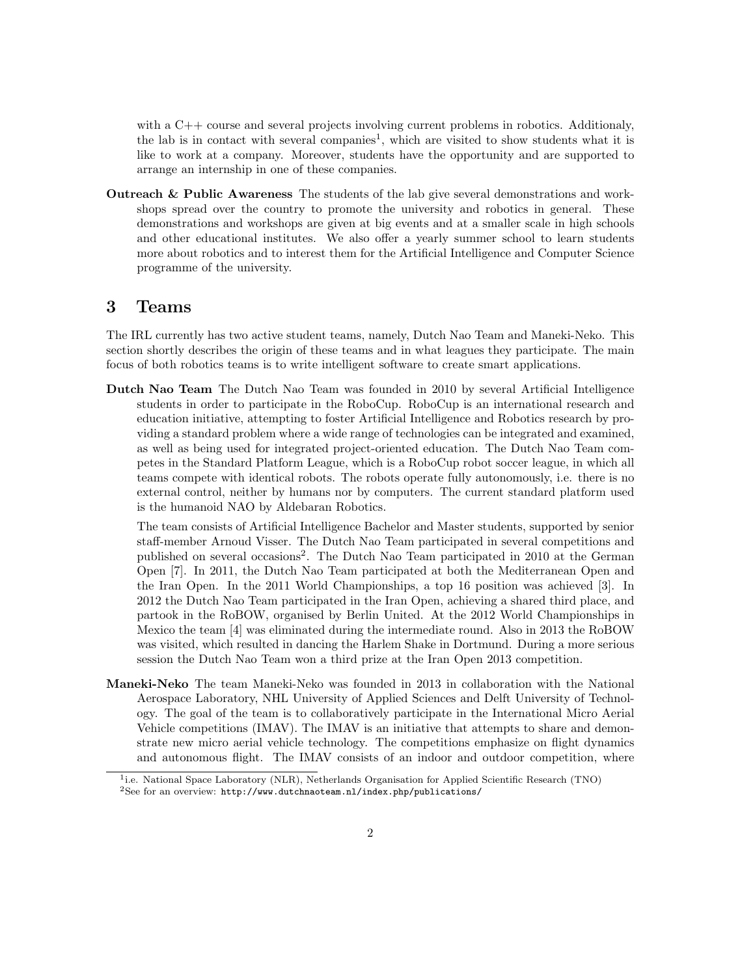with a C++ course and several projects involving current problems in robotics. Additionaly, the lab is in contact with several companies<sup>1</sup>, which are visited to show students what it is like to work at a company. Moreover, students have the opportunity and are supported to arrange an internship in one of these companies.

Outreach & Public Awareness The students of the lab give several demonstrations and workshops spread over the country to promote the university and robotics in general. These demonstrations and workshops are given at big events and at a smaller scale in high schools and other educational institutes. We also offer a yearly summer school to learn students more about robotics and to interest them for the Artificial Intelligence and Computer Science programme of the university.

### 3 Teams

The IRL currently has two active student teams, namely, Dutch Nao Team and Maneki-Neko. This section shortly describes the origin of these teams and in what leagues they participate. The main focus of both robotics teams is to write intelligent software to create smart applications.

Dutch Nao Team The Dutch Nao Team was founded in 2010 by several Artificial Intelligence students in order to participate in the RoboCup. RoboCup is an international research and education initiative, attempting to foster Artificial Intelligence and Robotics research by providing a standard problem where a wide range of technologies can be integrated and examined, as well as being used for integrated project-oriented education. The Dutch Nao Team competes in the Standard Platform League, which is a RoboCup robot soccer league, in which all teams compete with identical robots. The robots operate fully autonomously, i.e. there is no external control, neither by humans nor by computers. The current standard platform used is the humanoid NAO by Aldebaran Robotics.

The team consists of Artificial Intelligence Bachelor and Master students, supported by senior staff-member Arnoud Visser. The Dutch Nao Team participated in several competitions and published on several occasions<sup>2</sup>. The Dutch Nao Team participated in 2010 at the German Open [7]. In 2011, the Dutch Nao Team participated at both the Mediterranean Open and the Iran Open. In the 2011 World Championships, a top 16 position was achieved [3]. In 2012 the Dutch Nao Team participated in the Iran Open, achieving a shared third place, and partook in the RoBOW, organised by Berlin United. At the 2012 World Championships in Mexico the team [4] was eliminated during the intermediate round. Also in 2013 the RoBOW was visited, which resulted in dancing the Harlem Shake in Dortmund. During a more serious session the Dutch Nao Team won a third prize at the Iran Open 2013 competition.

Maneki-Neko The team Maneki-Neko was founded in 2013 in collaboration with the National Aerospace Laboratory, NHL University of Applied Sciences and Delft University of Technology. The goal of the team is to collaboratively participate in the International Micro Aerial Vehicle competitions (IMAV). The IMAV is an initiative that attempts to share and demonstrate new micro aerial vehicle technology. The competitions emphasize on flight dynamics and autonomous flight. The IMAV consists of an indoor and outdoor competition, where

<sup>&</sup>lt;sup>1</sup>i.e. National Space Laboratory (NLR), Netherlands Organisation for Applied Scientific Research (TNO) <sup>2</sup>See for an overview: http://www.dutchnaoteam.nl/index.php/publications/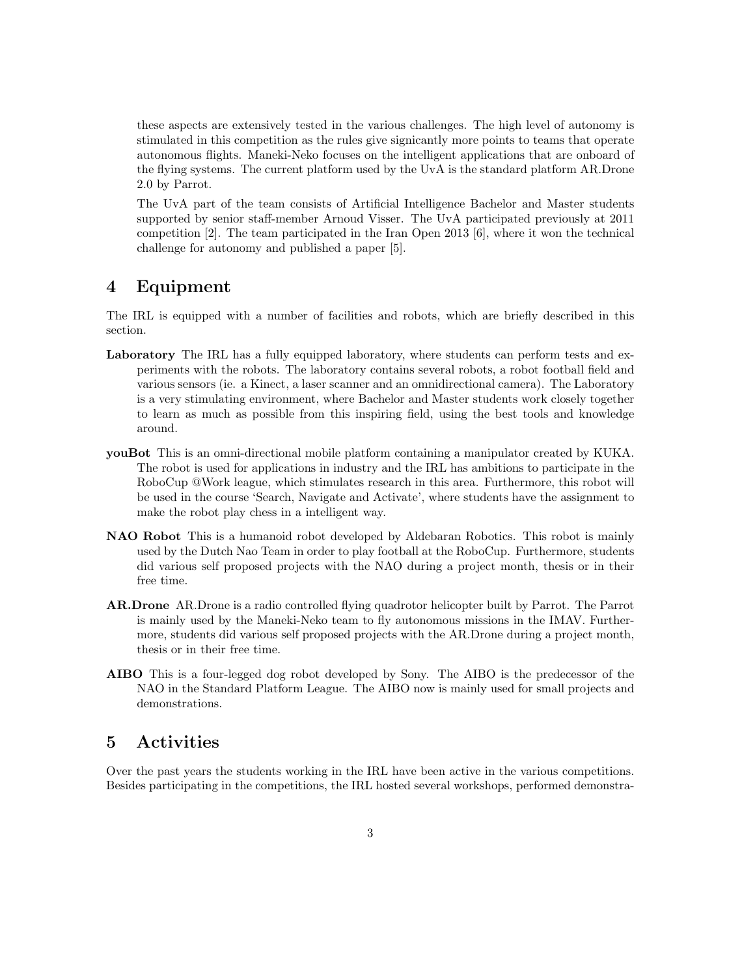these aspects are extensively tested in the various challenges. The high level of autonomy is stimulated in this competition as the rules give signicantly more points to teams that operate autonomous flights. Maneki-Neko focuses on the intelligent applications that are onboard of the flying systems. The current platform used by the UvA is the standard platform AR.Drone 2.0 by Parrot.

The UvA part of the team consists of Artificial Intelligence Bachelor and Master students supported by senior staff-member Arnoud Visser. The UvA participated previously at 2011 competition [2]. The team participated in the Iran Open 2013 [6], where it won the technical challenge for autonomy and published a paper [5].

# 4 Equipment

The IRL is equipped with a number of facilities and robots, which are briefly described in this section.

- Laboratory The IRL has a fully equipped laboratory, where students can perform tests and experiments with the robots. The laboratory contains several robots, a robot football field and various sensors (ie. a Kinect, a laser scanner and an omnidirectional camera). The Laboratory is a very stimulating environment, where Bachelor and Master students work closely together to learn as much as possible from this inspiring field, using the best tools and knowledge around.
- youBot This is an omni-directional mobile platform containing a manipulator created by KUKA. The robot is used for applications in industry and the IRL has ambitions to participate in the RoboCup @Work league, which stimulates research in this area. Furthermore, this robot will be used in the course 'Search, Navigate and Activate', where students have the assignment to make the robot play chess in a intelligent way.
- NAO Robot This is a humanoid robot developed by Aldebaran Robotics. This robot is mainly used by the Dutch Nao Team in order to play football at the RoboCup. Furthermore, students did various self proposed projects with the NAO during a project month, thesis or in their free time.
- AR.Drone AR.Drone is a radio controlled flying quadrotor helicopter built by Parrot. The Parrot is mainly used by the Maneki-Neko team to fly autonomous missions in the IMAV. Furthermore, students did various self proposed projects with the AR.Drone during a project month, thesis or in their free time.
- AIBO This is a four-legged dog robot developed by Sony. The AIBO is the predecessor of the NAO in the Standard Platform League. The AIBO now is mainly used for small projects and demonstrations.

# 5 Activities

Over the past years the students working in the IRL have been active in the various competitions. Besides participating in the competitions, the IRL hosted several workshops, performed demonstra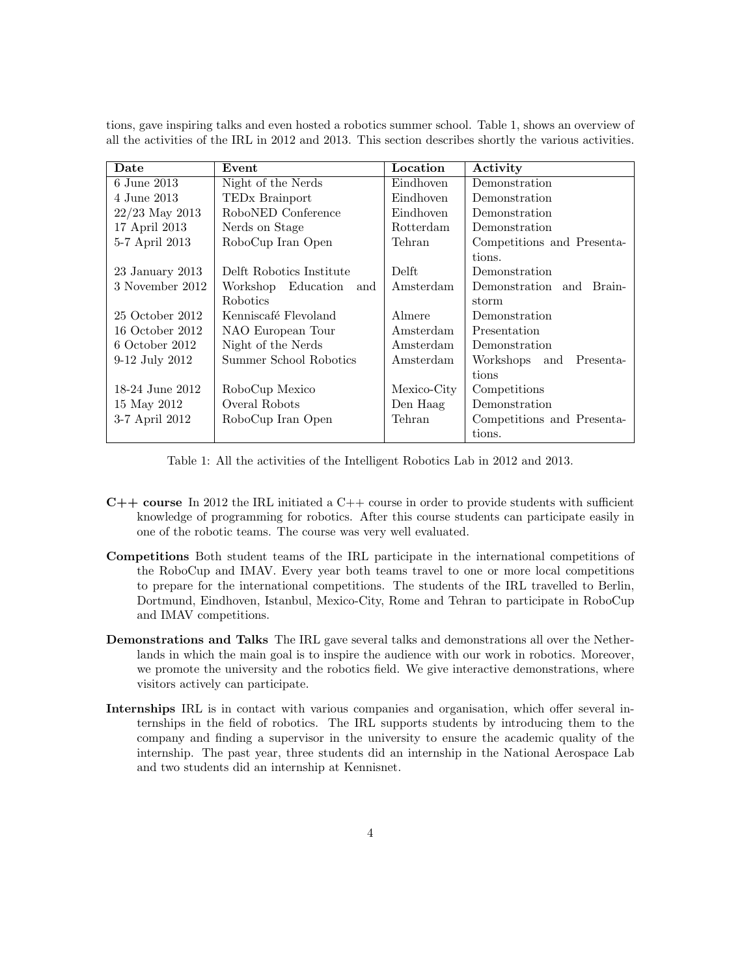tions, gave inspiring talks and even hosted a robotics summer school. Table 1, shows an overview of all the activities of the IRL in 2012 and 2013. This section describes shortly the various activities.

| Date             | Event                      | Location         | Activity                   |
|------------------|----------------------------|------------------|----------------------------|
| 6 June 2013      | Night of the Nerds         | Eindhoven        | Demonstration              |
| 4 June 2013      | TED <sub>x</sub> Brainport | Eindhoven        | Demonstration              |
| $22/23$ May 2013 | RoboNED Conference         | Eindhoven        | Demonstration              |
| 17 April 2013    | Nerds on Stage             | <b>Rotterdam</b> | Demonstration              |
| 5-7 April 2013   | RoboCup Iran Open          | Tehran           | Competitions and Presenta- |
|                  |                            |                  | tions.                     |
| 23 January 2013  | Delft Robotics Institute   | Delft            | Demonstration              |
| 3 November 2012  | Workshop Education<br>and  | Amsterdam        | Demonstration and Brain-   |
|                  | <b>Robotics</b>            |                  | storm                      |
| 25 October 2012  | Kenniscafé Flevoland       | Almere           | Demonstration              |
| 16 October 2012  | NAO European Tour          | Amsterdam        | Presentation               |
| 6 October 2012   | Night of the Nerds         | Amsterdam        | Demonstration              |
| 9-12 July 2012   | Summer School Robotics     | Amsterdam        | Workshops and Presenta-    |
|                  |                            |                  | tions                      |
| 18-24 June 2012  | RoboCup Mexico             | Mexico-City      | Competitions               |
| 15 May 2012      | Overal Robots              | Den Haag         | Demonstration              |
| 3-7 April 2012   | RoboCup Iran Open          | Tehran           | Competitions and Presenta- |
|                  |                            |                  | tions.                     |

Table 1: All the activities of the Intelligent Robotics Lab in 2012 and 2013.

- $C++$  course In 2012 the IRL initiated a  $C++$  course in order to provide students with sufficient knowledge of programming for robotics. After this course students can participate easily in one of the robotic teams. The course was very well evaluated.
- Competitions Both student teams of the IRL participate in the international competitions of the RoboCup and IMAV. Every year both teams travel to one or more local competitions to prepare for the international competitions. The students of the IRL travelled to Berlin, Dortmund, Eindhoven, Istanbul, Mexico-City, Rome and Tehran to participate in RoboCup and IMAV competitions.
- Demonstrations and Talks The IRL gave several talks and demonstrations all over the Netherlands in which the main goal is to inspire the audience with our work in robotics. Moreover, we promote the university and the robotics field. We give interactive demonstrations, where visitors actively can participate.
- Internships IRL is in contact with various companies and organisation, which offer several internships in the field of robotics. The IRL supports students by introducing them to the company and finding a supervisor in the university to ensure the academic quality of the internship. The past year, three students did an internship in the National Aerospace Lab and two students did an internship at Kennisnet.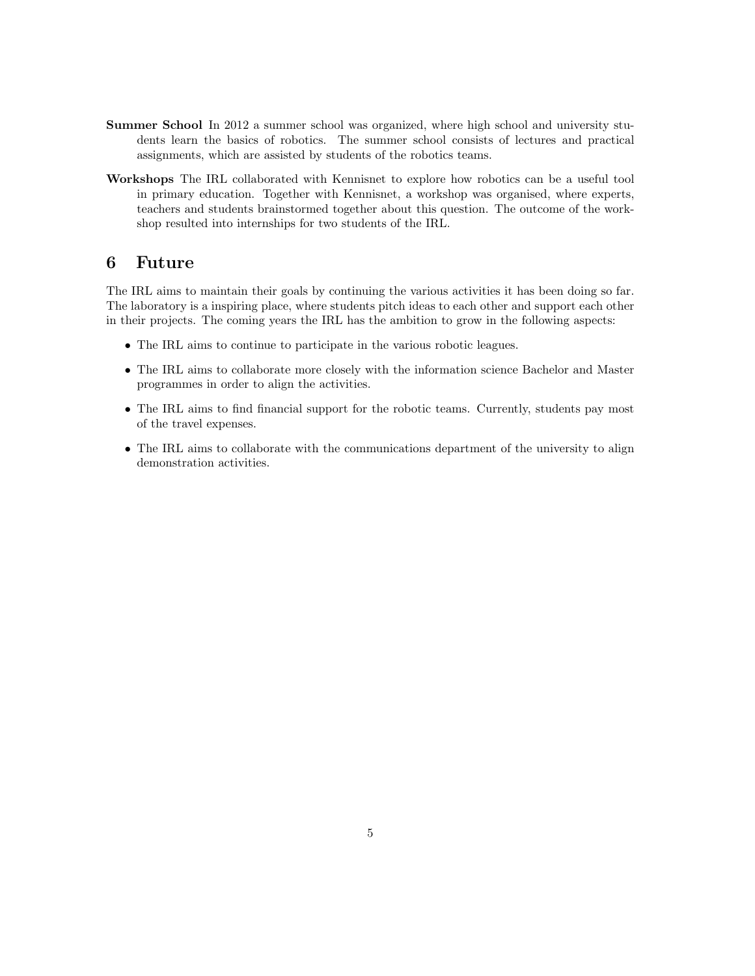- Summer School In 2012 a summer school was organized, where high school and university students learn the basics of robotics. The summer school consists of lectures and practical assignments, which are assisted by students of the robotics teams.
- Workshops The IRL collaborated with Kennisnet to explore how robotics can be a useful tool in primary education. Together with Kennisnet, a workshop was organised, where experts, teachers and students brainstormed together about this question. The outcome of the workshop resulted into internships for two students of the IRL.

# 6 Future

The IRL aims to maintain their goals by continuing the various activities it has been doing so far. The laboratory is a inspiring place, where students pitch ideas to each other and support each other in their projects. The coming years the IRL has the ambition to grow in the following aspects:

- The IRL aims to continue to participate in the various robotic leagues.
- The IRL aims to collaborate more closely with the information science Bachelor and Master programmes in order to align the activities.
- The IRL aims to find financial support for the robotic teams. Currently, students pay most of the travel expenses.
- The IRL aims to collaborate with the communications department of the university to align demonstration activities.